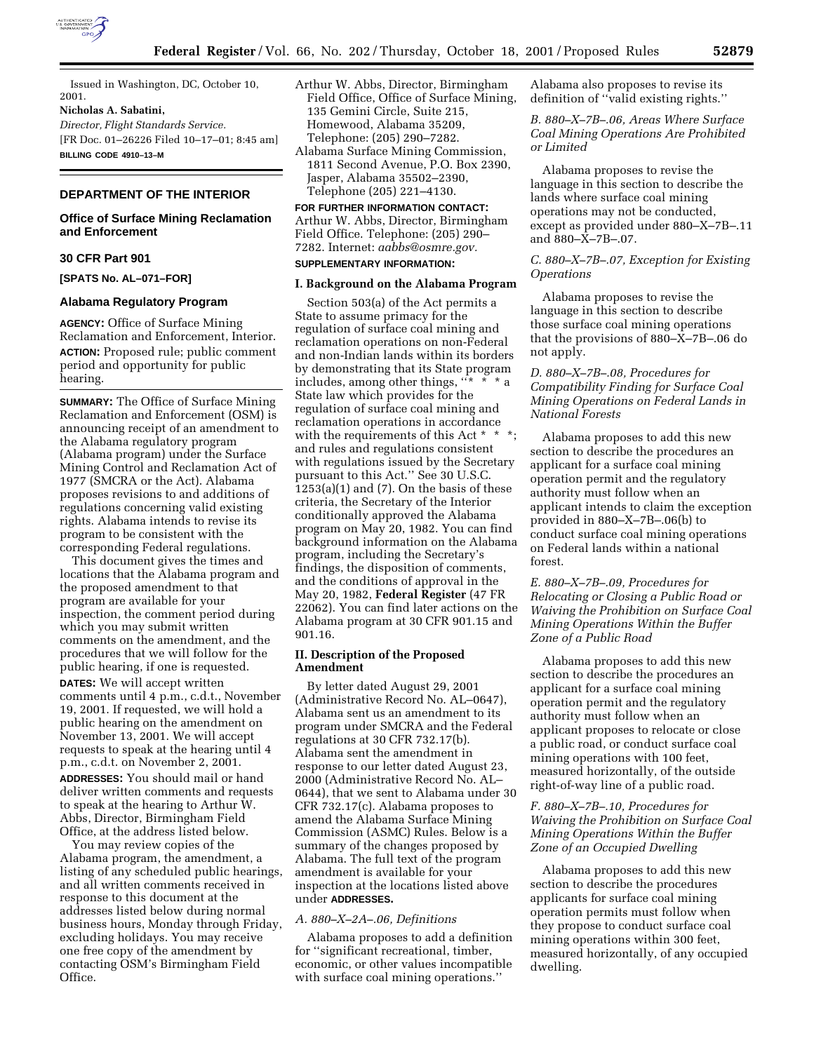

Issued in Washington, DC, October 10, 2001.

## **Nicholas A. Sabatini,**

*Director, Flight Standards Service.* [FR Doc. 01–26226 Filed 10–17–01; 8:45 am] **BILLING CODE 4910–13–M**

# **DEPARTMENT OF THE INTERIOR**

## **Office of Surface Mining Reclamation and Enforcement**

## **30 CFR Part 901**

**[SPATS No. AL–071–FOR]**

# **Alabama Regulatory Program**

**AGENCY:** Office of Surface Mining Reclamation and Enforcement, Interior. **ACTION:** Proposed rule; public comment period and opportunity for public hearing.

**SUMMARY:** The Office of Surface Mining Reclamation and Enforcement (OSM) is announcing receipt of an amendment to the Alabama regulatory program (Alabama program) under the Surface Mining Control and Reclamation Act of 1977 (SMCRA or the Act). Alabama proposes revisions to and additions of regulations concerning valid existing rights. Alabama intends to revise its program to be consistent with the corresponding Federal regulations.

This document gives the times and locations that the Alabama program and the proposed amendment to that program are available for your inspection, the comment period during which you may submit written comments on the amendment, and the procedures that we will follow for the public hearing, if one is requested. **DATES:** We will accept written comments until 4 p.m., c.d.t., November 19, 2001. If requested, we will hold a public hearing on the amendment on November 13, 2001. We will accept requests to speak at the hearing until 4 p.m., c.d.t. on November 2, 2001.

**ADDRESSES:** You should mail or hand deliver written comments and requests to speak at the hearing to Arthur W. Abbs, Director, Birmingham Field Office, at the address listed below.

You may review copies of the Alabama program, the amendment, a listing of any scheduled public hearings, and all written comments received in response to this document at the addresses listed below during normal business hours, Monday through Friday, excluding holidays. You may receive one free copy of the amendment by contacting OSM's Birmingham Field Office.

- Arthur W. Abbs, Director, Birmingham Field Office, Office of Surface Mining, 135 Gemini Circle, Suite 215, Homewood, Alabama 35209, Telephone: (205) 290–7282.
- Alabama Surface Mining Commission, 1811 Second Avenue, P.O. Box 2390, Jasper, Alabama 35502–2390, Telephone (205) 221–4130.

## **FOR FURTHER INFORMATION CONTACT:** Arthur W. Abbs, Director, Birmingham Field Office. Telephone: (205) 290– 7282. Internet: *aabbs@osmre.gov.*

## **SUPPLEMENTARY INFORMATION:**

## **I. Background on the Alabama Program**

Section 503(a) of the Act permits a State to assume primacy for the regulation of surface coal mining and reclamation operations on non-Federal and non-Indian lands within its borders by demonstrating that its State program includes, among other things,  $x^* \times x^*$  a State law which provides for the regulation of surface coal mining and reclamation operations in accordance with the requirements of this Act \* \* \*; and rules and regulations consistent with regulations issued by the Secretary pursuant to this Act.'' See 30 U.S.C.  $1253(a)(1)$  and (7). On the basis of these criteria, the Secretary of the Interior conditionally approved the Alabama program on May 20, 1982. You can find background information on the Alabama program, including the Secretary's findings, the disposition of comments, and the conditions of approval in the May 20, 1982, **Federal Register** (47 FR 22062). You can find later actions on the Alabama program at 30 CFR 901.15 and 901.16.

## **II. Description of the Proposed Amendment**

By letter dated August 29, 2001 (Administrative Record No. AL–0647), Alabama sent us an amendment to its program under SMCRA and the Federal regulations at 30 CFR 732.17(b). Alabama sent the amendment in response to our letter dated August 23, 2000 (Administrative Record No. AL– 0644), that we sent to Alabama under 30 CFR 732.17(c). Alabama proposes to amend the Alabama Surface Mining Commission (ASMC) Rules. Below is a summary of the changes proposed by Alabama. The full text of the program amendment is available for your inspection at the locations listed above under **ADDRESSES.**

# *A. 880–X–2A–.06, Definitions*

Alabama proposes to add a definition for ''significant recreational, timber, economic, or other values incompatible with surface coal mining operations.''

Alabama also proposes to revise its definition of ''valid existing rights.''

*B. 880–X–7B–.06, Areas Where Surface Coal Mining Operations Are Prohibited or Limited*

Alabama proposes to revise the language in this section to describe the lands where surface coal mining operations may not be conducted, except as provided under 880–X–7B–.11 and 880–X–7B–.07.

# *C. 880–X–7B–.07, Exception for Existing Operations*

Alabama proposes to revise the language in this section to describe those surface coal mining operations that the provisions of 880–X–7B–.06 do not apply.

*D. 880–X–7B–.08, Procedures for Compatibility Finding for Surface Coal Mining Operations on Federal Lands in National Forests*

Alabama proposes to add this new section to describe the procedures an applicant for a surface coal mining operation permit and the regulatory authority must follow when an applicant intends to claim the exception provided in 880–X–7B–.06(b) to conduct surface coal mining operations on Federal lands within a national forest.

*E. 880–X–7B–.09, Procedures for Relocating or Closing a Public Road or Waiving the Prohibition on Surface Coal Mining Operations Within the Buffer Zone of a Public Road*

Alabama proposes to add this new section to describe the procedures an applicant for a surface coal mining operation permit and the regulatory authority must follow when an applicant proposes to relocate or close a public road, or conduct surface coal mining operations with 100 feet, measured horizontally, of the outside right-of-way line of a public road.

# *F. 880–X–7B–.10, Procedures for Waiving the Prohibition on Surface Coal Mining Operations Within the Buffer Zone of an Occupied Dwelling*

Alabama proposes to add this new section to describe the procedures applicants for surface coal mining operation permits must follow when they propose to conduct surface coal mining operations within 300 feet, measured horizontally, of any occupied dwelling.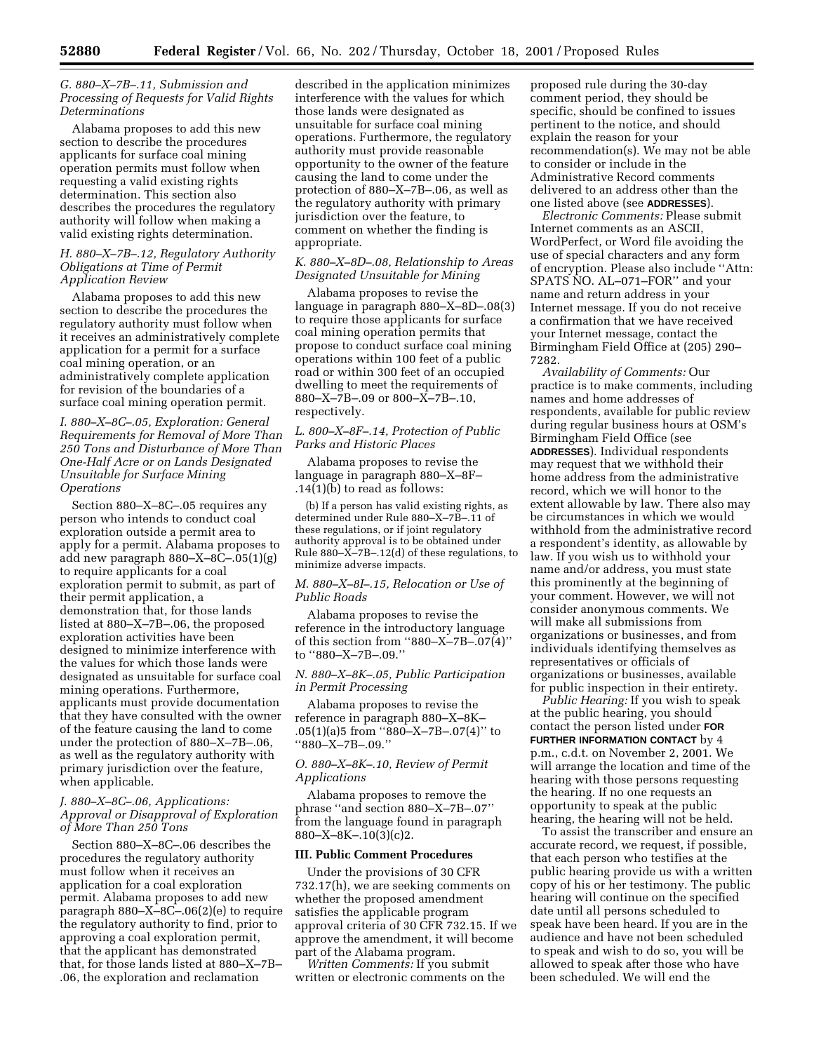## *G. 880–X–7B–.11, Submission and Processing of Requests for Valid Rights Determinations*

Alabama proposes to add this new section to describe the procedures applicants for surface coal mining operation permits must follow when requesting a valid existing rights determination. This section also describes the procedures the regulatory authority will follow when making a valid existing rights determination.

#### *H. 880–X–7B–.12, Regulatory Authority Obligations at Time of Permit Application Review*

Alabama proposes to add this new section to describe the procedures the regulatory authority must follow when it receives an administratively complete application for a permit for a surface coal mining operation, or an administratively complete application for revision of the boundaries of a surface coal mining operation permit.

*I. 880–X–8C–.05, Exploration: General Requirements for Removal of More Than 250 Tons and Disturbance of More Than One-Half Acre or on Lands Designated Unsuitable for Surface Mining Operations*

Section 880–X–8C–.05 requires any person who intends to conduct coal exploration outside a permit area to apply for a permit. Alabama proposes to add new paragraph 880–X–8C–.05(1)(g) to require applicants for a coal exploration permit to submit, as part of their permit application, a demonstration that, for those lands listed at 880–X–7B–.06, the proposed exploration activities have been designed to minimize interference with the values for which those lands were designated as unsuitable for surface coal mining operations. Furthermore, applicants must provide documentation that they have consulted with the owner of the feature causing the land to come under the protection of 880–X–7B–.06, as well as the regulatory authority with primary jurisdiction over the feature, when applicable.

## *J. 880–X–8C–.06, Applications: Approval or Disapproval of Exploration of More Than 250 Tons*

Section 880–X–8C–.06 describes the procedures the regulatory authority must follow when it receives an application for a coal exploration permit. Alabama proposes to add new paragraph  $880 - X - 8C - .06(2)(e)$  to require the regulatory authority to find, prior to approving a coal exploration permit, that the applicant has demonstrated that, for those lands listed at 880–X–7B– .06, the exploration and reclamation

described in the application minimizes interference with the values for which those lands were designated as unsuitable for surface coal mining operations. Furthermore, the regulatory authority must provide reasonable opportunity to the owner of the feature causing the land to come under the protection of 880–X–7B–.06, as well as the regulatory authority with primary jurisdiction over the feature, to comment on whether the finding is appropriate.

## *K. 880–X–8D–.08, Relationship to Areas Designated Unsuitable for Mining*

Alabama proposes to revise the language in paragraph 880–X–8D–.08(3) to require those applicants for surface coal mining operation permits that propose to conduct surface coal mining operations within 100 feet of a public road or within 300 feet of an occupied dwelling to meet the requirements of 880–X–7B–.09 or 800–X–7B–.10, respectively.

## *L. 800–X–8F–.14, Protection of Public Parks and Historic Places*

Alabama proposes to revise the language in paragraph 880–X–8F– .14(1)(b) to read as follows:

(b) If a person has valid existing rights, as determined under Rule 880–X–7B–.11 of these regulations, or if joint regulatory authority approval is to be obtained under Rule  $880 - \bar{X} - 7B - 0.12(d)$  of these regulations, to minimize adverse impacts.

## *M. 880–X–8I–.15, Relocation or Use of Public Roads*

Alabama proposes to revise the reference in the introductory language of this section from "880–X–7B–.07 $(4)$ " to ''880–X–7B–.09.''

#### *N. 880–X–8K–.05, Public Participation in Permit Processing*

Alabama proposes to revise the reference in paragraph 880–X–8K– .05(1)(a)5 from ''880–X–7B–.07(4)'' to ''880–X–7B–.09.''

## *O. 880–X–8K–.10, Review of Permit Applications*

Alabama proposes to remove the phrase ''and section 880–X–7B–.07'' from the language found in paragraph  $880 - X - 8K - 0.10(3)(c)$ 2.

### **III. Public Comment Procedures**

Under the provisions of 30 CFR 732.17(h), we are seeking comments on whether the proposed amendment satisfies the applicable program approval criteria of 30 CFR 732.15. If we approve the amendment, it will become part of the Alabama program.

*Written Comments:* If you submit written or electronic comments on the

proposed rule during the 30-day comment period, they should be specific, should be confined to issues pertinent to the notice, and should explain the reason for your recommendation(s). We may not be able to consider or include in the Administrative Record comments delivered to an address other than the one listed above (see **ADDRESSES**).

*Electronic Comments:* Please submit Internet comments as an ASCII, WordPerfect, or Word file avoiding the use of special characters and any form of encryption. Please also include ''Attn: SPATS NO. AL–071–FOR'' and your name and return address in your Internet message. If you do not receive a confirmation that we have received your Internet message, contact the Birmingham Field Office at (205) 290– 7282.

*Availability of Comments:* Our practice is to make comments, including names and home addresses of respondents, available for public review during regular business hours at OSM's Birmingham Field Office (see **ADDRESSES**). Individual respondents may request that we withhold their home address from the administrative record, which we will honor to the extent allowable by law. There also may be circumstances in which we would withhold from the administrative record a respondent's identity, as allowable by law. If you wish us to withhold your name and/or address, you must state this prominently at the beginning of your comment. However, we will not consider anonymous comments. We will make all submissions from organizations or businesses, and from individuals identifying themselves as representatives or officials of organizations or businesses, available for public inspection in their entirety.

*Public Hearing:* If you wish to speak at the public hearing, you should contact the person listed under **FOR FURTHER INFORMATION CONTACT** by 4 p.m., c.d.t. on November 2, 2001. We will arrange the location and time of the hearing with those persons requesting the hearing. If no one requests an opportunity to speak at the public hearing, the hearing will not be held.

To assist the transcriber and ensure an accurate record, we request, if possible, that each person who testifies at the public hearing provide us with a written copy of his or her testimony. The public hearing will continue on the specified date until all persons scheduled to speak have been heard. If you are in the audience and have not been scheduled to speak and wish to do so, you will be allowed to speak after those who have been scheduled. We will end the